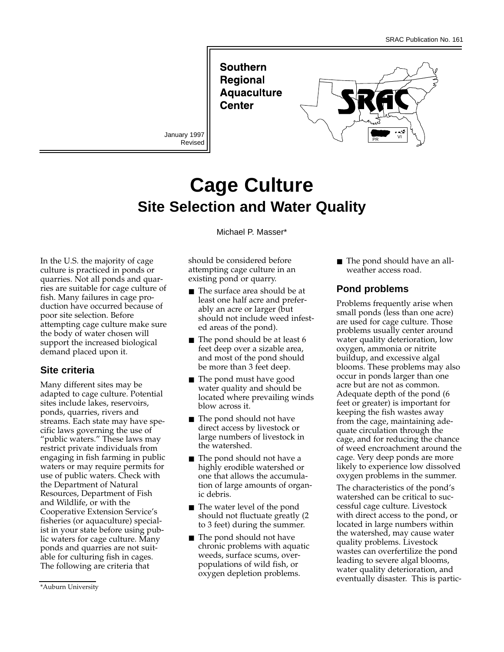**Southern Regional Aquaculture Center** 

Revised



# **Cage Culture Site Selection and Water Quality**

Michael P. Masser\*

In the U.S. the majority of cage culture is practiced in ponds or quarries. Not all ponds and quarries are suitable for cage culture of fish. Many failures in cage production have occurred because of poor site selection. Before attempting cage culture make sure the body of water chosen will support the increased biological demand placed upon it.

## **Site criteria**

Many different sites may be adapted to cage culture. Potential sites include lakes, reservoirs, ponds, quarries, rivers and streams. Each state may have specific laws governing the use of "public waters." These laws may restrict private individuals from engaging in fish farming in public waters or may require permits for use of public waters. Check with the Department of Natural Resources, Department of Fish and Wildlife, or with the Cooperative Extension Service's fisheries (or aquaculture) specialist in your state before using public waters for cage culture. Many ponds and quarries are not suitable for culturing fish in cages. The following are criteria that

- The surface area should be at least one half acre and preferably an acre or larger (but should not include weed infested areas of the pond).
- The pond should be at least 6 feet deep over a sizable area, and most of the pond should be more than 3 feet deep.
- The pond must have good water quality and should be located where prevailing winds blow across it.
- The pond should not have direct access by livestock or large numbers of livestock in the watershed.
- The pond should not have a highly erodible watershed or one that allows the accumulation of large amounts of organic debris.
- The water level of the pond should not fluctuate greatly (2 to 3 feet) during the summer.
- The pond should not have chronic problems with aquatic weeds, surface scums, overpopulations of wild fish, or oxygen depletion problems.

■ The pond should have an allweather access road.

## **Pond problems**

Problems frequently arise when small ponds (less than one acre) are used for cage culture. Those problems usually center around water quality deterioration, low oxygen, ammonia or nitrite buildup, and excessive algal blooms. These problems may also occur in ponds larger than one acre but are not as common. Adequate depth of the pond (6 feet or greater) is important for keeping the fish wastes away from the cage, maintaining adequate circulation through the cage, and for reducing the chance of weed encroachment around the cage. Very deep ponds are more likely to experience low dissolved oxygen problems in the summer.

The characteristics of the pond's watershed can be critical to successful cage culture. Livestock with direct access to the pond, or located in large numbers within the watershed, may cause water quality problems. Livestock wastes can overfertilize the pond leading to severe algal blooms, water quality deterioration, and eventually disaster. This is partic-

should be considered before attempting cage culture in an existing pond or quarry.

<sup>\*</sup>Auburn University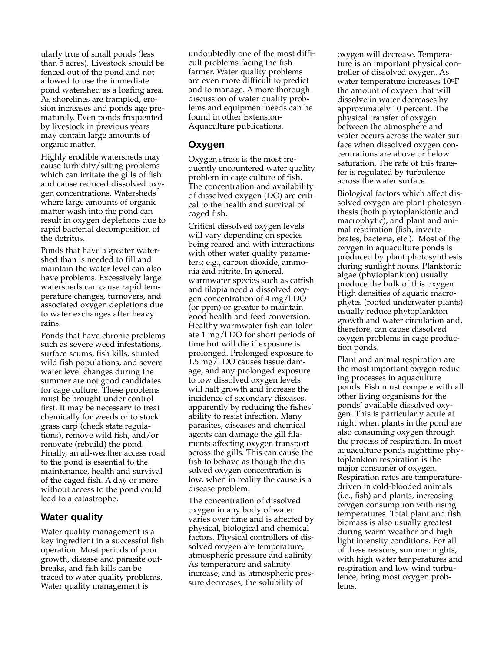ularly true of small ponds (less than 5 acres). Livestock should be fenced out of the pond and not allowed to use the immediate pond watershed as a loafing area. As shorelines are trampled, erosion increases and ponds age prematurely. Even ponds frequented by livestock in previous years may contain large amounts of organic matter.

Highly erodible watersheds may cause turbidity/silting problems which can irritate the gills of fish and cause reduced dissolved oxygen concentrations. Watersheds where large amounts of organic matter wash into the pond can result in oxygen depletions due to rapid bacterial decomposition of the detritus.

Ponds that have a greater watershed than is needed to fill and maintain the water level can also have problems. Excessively large watersheds can cause rapid temperature changes, turnovers, and associated oxygen depletions due to water exchanges after heavy rains.

Ponds that have chronic problems such as severe weed infestations, surface scums, fish kills, stunted wild fish populations, and severe water level changes during the summer are not good candidates for cage culture. These problems must be brought under control first. It may be necessary to treat chemically for weeds or to stock grass carp (check state regulations), remove wild fish, and/or renovate (rebuild) the pond. Finally, an all-weather access road to the pond is essential to the maintenance, health and survival of the caged fish. A day or more without access to the pond could lead to a catastrophe.

#### **Water quality**

Water quality management is a key ingredient in a successful fish operation. Most periods of poor growth, disease and parasite outbreaks, and fish kills can be traced to water quality problems. Water quality management is

undoubtedly one of the most difficult problems facing the fish farmer. Water quality problems are even more difficult to predict and to manage. A more thorough discussion of water quality problems and equipment needs can be found in other Extension-Aquaculture publications.

#### **Oxygen**

Oxygen stress is the most frequently encountered water quality problem in cage culture of fish. The concentration and availability of dissolved oxygen (DO) are critical to the health and survival of caged fish.

Critical dissolved oxygen levels will vary depending on species being reared and with interactions with other water quality parameters; e.g., carbon dioxide, ammonia and nitrite. In general, warmwater species such as catfish and tilapia need a dissolved oxygen concentration of 4 mg/l DO (or ppm) or greater to maintain good health and feed conversion. Healthy warmwater fish can tolerate 1 mg/l DO for short periods of time but will die if exposure is prolonged. Prolonged exposure to 1.5 mg/l DO causes tissue damage, and any prolonged exposure to low dissolved oxygen levels will halt growth and increase the incidence of secondary diseases, apparently by reducing the fishes' ability to resist infection. Many parasites, diseases and chemical agents can damage the gill filaments affecting oxygen transport across the gills. This can cause the fish to behave as though the dissolved oxygen concentration is low, when in reality the cause is a disease problem.

The concentration of dissolved oxygen in any body of water varies over time and is affected by physical, biological and chemical factors. Physical controllers of dissolved oxygen are temperature, atmospheric pressure and salinity. As temperature and salinity increase, and as atmospheric pressure decreases, the solubility of

oxygen will decrease. Temperature is an important physical controller of dissolved oxygen. As water temperature increases 10oF the amount of oxygen that will dissolve in water decreases by approximately 10 percent. The physical transfer of oxygen between the atmosphere and water occurs across the water surface when dissolved oxygen concentrations are above or below saturation. The rate of this transfer is regulated by turbulence across the water surface.

Biological factors which affect dissolved oxygen are plant photosynthesis (both phytoplanktonic and macrophytic), and plant and animal respiration (fish, invertebrates, bacteria, etc.). Most of the oxygen in aquaculture ponds is produced by plant photosynthesis during sunlight hours. Planktonic algae (phytoplankton) usually produce the bulk of this oxygen. High densities of aquatic macrophytes (rooted underwater plants) usually reduce phytoplankton growth and water circulation and, therefore, can cause dissolved oxygen problems in cage production ponds.

Plant and animal respiration are the most important oxygen reducing processes in aquaculture ponds. Fish must compete with all other living organisms for the ponds' available dissolved oxygen. This is particularly acute at night when plants in the pond are also consuming oxygen through the process of respiration. In most aquaculture ponds nighttime phytoplankton respiration is the major consumer of oxygen. Respiration rates are temperaturedriven in cold-blooded animals (i.e., fish) and plants, increasing oxygen consumption with rising temperatures. Total plant and fish biomass is also usually greatest during warm weather and high light intensity conditions. For all of these reasons, summer nights, with high water temperatures and respiration and low wind turbulence, bring most oxygen problems.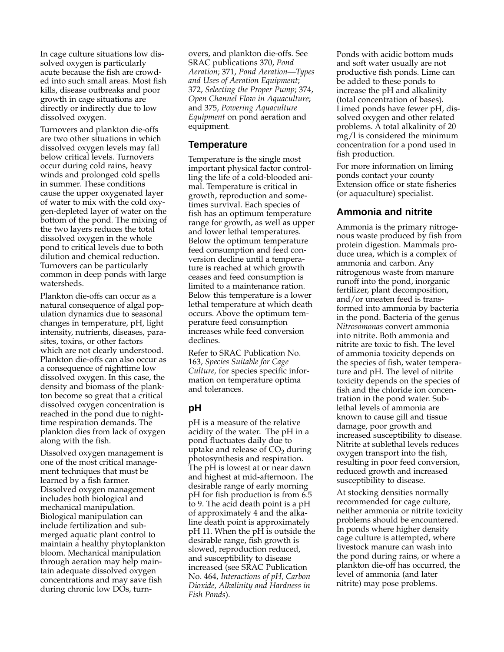In cage culture situations low dissolved oxygen is particularly acute because the fish are crowded into such small areas. Most fish kills, disease outbreaks and poor growth in cage situations are directly or indirectly due to low dissolved oxygen.

Turnovers and plankton die-offs are two other situations in which dissolved oxygen levels may fall below critical levels. Turnovers occur during cold rains, heavy winds and prolonged cold spells in summer. These conditions cause the upper oxygenated layer of water to mix with the cold oxygen-depleted layer of water on the bottom of the pond. The mixing of the two layers reduces the total dissolved oxygen in the whole pond to critical levels due to both dilution and chemical reduction. Turnovers can be particularly common in deep ponds with large watersheds.

Plankton die-offs can occur as a natural consequence of algal population dynamics due to seasonal changes in temperature, pH, light intensity, nutrients, diseases, parasites, toxins, or other factors which are not clearly understood. Plankton die-offs can also occur as a consequence of nighttime low dissolved oxygen. In this case, the density and biomass of the plankton become so great that a critical dissolved oxygen concentration is reached in the pond due to nighttime respiration demands. The plankton dies from lack of oxygen along with the fish.

Dissolved oxygen management is one of the most critical management techniques that must be learned by a fish farmer. Dissolved oxygen management includes both biological and mechanical manipulation. Biological manipulation can include fertilization and submerged aquatic plant control to maintain a healthy phytoplankton bloom. Mechanical manipulation through aeration may help maintain adequate dissolved oxygen concentrations and may save fish during chronic low DOs, turnovers, and plankton die-offs. See SRAC publications 370, *Pond Aeration*; 371, *Pond Aeration—Types and Uses of Aeration Equipment*; 372, *Selecting the Proper Pump*; 374, *Open Channel Flow in Aquaculture*; and 375, *Powering Aquaculture Equipment* on pond aeration and equipment.

#### **Temperature**

Temperature is the single most important physical factor controlling the life of a cold-blooded animal. Temperature is critical in growth, reproduction and sometimes survival. Each species of fish has an optimum temperature range for growth, as well as upper and lower lethal temperatures. Below the optimum temperature feed consumption and feed conversion decline until a temperature is reached at which growth ceases and feed consumption is limited to a maintenance ration. Below this temperature is a lower lethal temperature at which death occurs. Above the optimum temperature feed consumption increases while feed conversion declines.

Refer to SRAC Publication No. 163, *Species Suitable for Cage Culture,* for species specific information on temperature optima and tolerances.

# **pH**

pH is a measure of the relative acidity of the water. The pH in a pond fluctuates daily due to uptake and release of  $CO<sub>2</sub>$  during photosynthesis and respiration. The pH is lowest at or near dawn and highest at mid-afternoon. The desirable range of early morning pH for fish production is from 6.5 to 9. The acid death point is a pH of approximately 4 and the alkaline death point is approximately pH 11. When the pH is outside the desirable range, fish growth is slowed, reproduction reduced, and susceptibility to disease increased (see SRAC Publication No. 464, *Interactions of pH, Carbon Dioxide, Alkalinity and Hardness in Fish Ponds*).

Ponds with acidic bottom muds and soft water usually are not productive fish ponds. Lime can be added to these ponds to increase the pH and alkalinity (total concentration of bases). Limed ponds have fewer pH, dissolved oxygen and other related problems. A total alkalinity of 20 mg/l is considered the minimum concentration for a pond used in fish production.

For more information on liming ponds contact your county Extension office or state fisheries (or aquaculture) specialist.

### **Ammonia and nitrite**

Ammonia is the primary nitrogenous waste produced by fish from protein digestion. Mammals produce urea, which is a complex of ammonia and carbon. Any nitrogenous waste from manure runoff into the pond, inorganic fertilizer, plant decomposition, and/or uneaten feed is transformed into ammonia by bacteria in the pond. Bacteria of the genus *Nitrosomonas* convert ammonia into nitrite. Both ammonia and nitrite are toxic to fish. The level of ammonia toxicity depends on the species of fish, water temperature and pH. The level of nitrite toxicity depends on the species of fish and the chloride ion concentration in the pond water. Sublethal levels of ammonia are known to cause gill and tissue damage, poor growth and increased susceptibility to disease. Nitrite at sublethal levels reduces oxygen transport into the fish, resulting in poor feed conversion, reduced growth and increased susceptibility to disease.

At stocking densities normally recommended for cage culture, neither ammonia or nitrite toxicity problems should be encountered. In ponds where higher density cage culture is attempted, where livestock manure can wash into the pond during rains, or where a plankton die-off has occurred, the level of ammonia (and later nitrite) may pose problems.